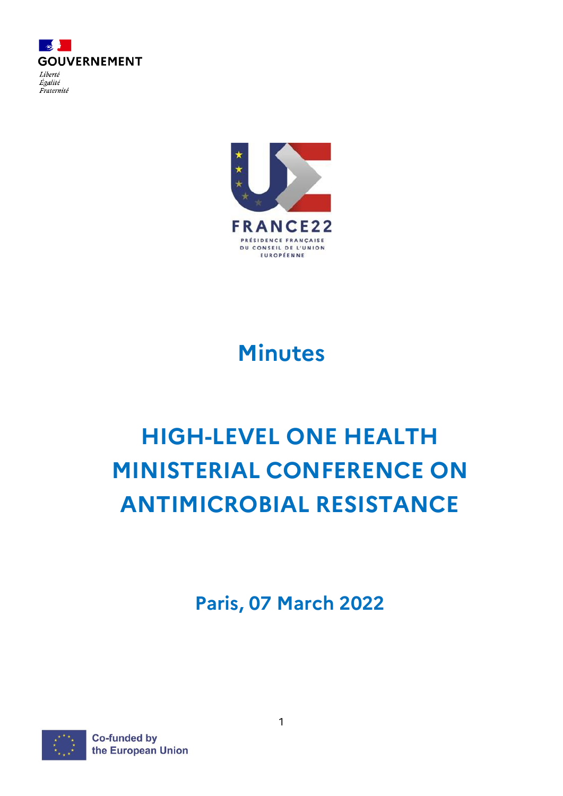



# **Minutes**

# **HIGH-LEVEL ONE HEALTH MINISTERIAL CONFERENCE ON ANTIMICROBIAL RESISTANCE**

**Paris, 07 March 2022**



**Co-funded by** the European Union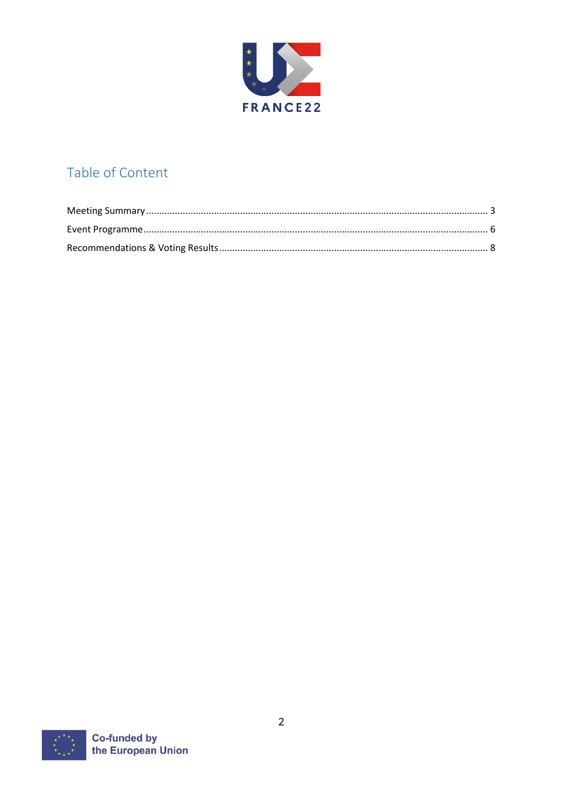

# Table of Content

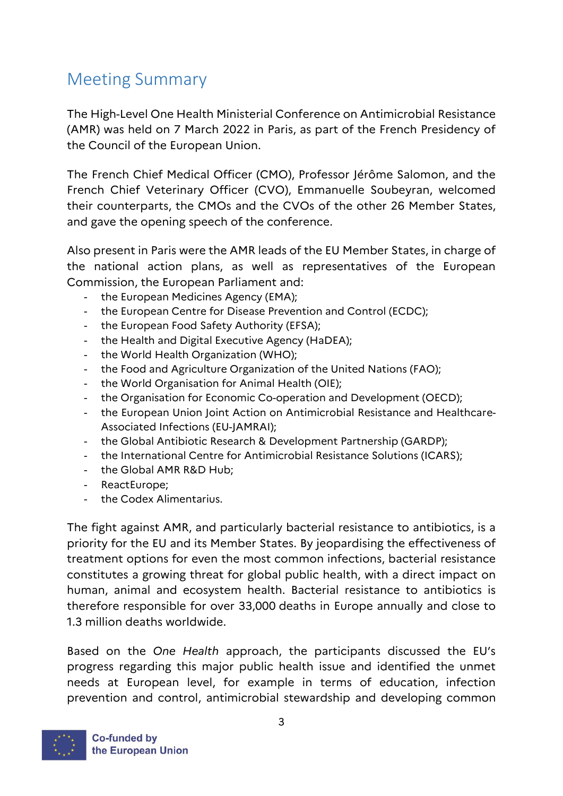# <span id="page-2-0"></span>Meeting Summary

The High-Level One Health Ministerial Conference on Antimicrobial Resistance (AMR) was held on 7 March 2022 in Paris, as part of the French Presidency of the Council of the European Union.

The French Chief Medical Officer (CMO), Professor Jérôme Salomon, and the French Chief Veterinary Officer (CVO), Emmanuelle Soubeyran, welcomed their counterparts, the CMOs and the CVOs of the other 26 Member States, and gave the opening speech of the conference.

Also present in Paris were the AMR leads of the EU Member States, in charge of the national action plans, as well as representatives of the European Commission, the European Parliament and:

- the European Medicines Agency (EMA);
- the European Centre for Disease Prevention and Control (ECDC);
- the European Food Safety Authority (EFSA);
- the Health and Digital Executive Agency (HaDEA);
- the World Health Organization (WHO);
- the Food and Agriculture Organization of the United Nations (FAO);
- the World Organisation for Animal Health (OIE);
- the Organisation for Economic Co-operation and Development (OECD);
- the European Union Joint Action on Antimicrobial Resistance and Healthcare-Associated Infections (EU-JAMRAI);
- the Global Antibiotic Research & Development Partnership (GARDP);
- the International Centre for Antimicrobial Resistance Solutions (ICARS);
- the Global AMR R&D Hub;
- ReactEurope;
- the Codex Alimentarius.

The fight against AMR, and particularly bacterial resistance to antibiotics, is a priority for the EU and its Member States. By jeopardising the effectiveness of treatment options for even the most common infections, bacterial resistance constitutes a growing threat for global public health, with a direct impact on human, animal and ecosystem health. Bacterial resistance to antibiotics is therefore responsible for over 33,000 deaths in Europe annually and close to 1.3 million deaths worldwide.

Based on the *One Health* approach, the participants discussed the EU's progress regarding this major public health issue and identified the unmet needs at European level, for example in terms of education, infection prevention and control, antimicrobial stewardship and developing common

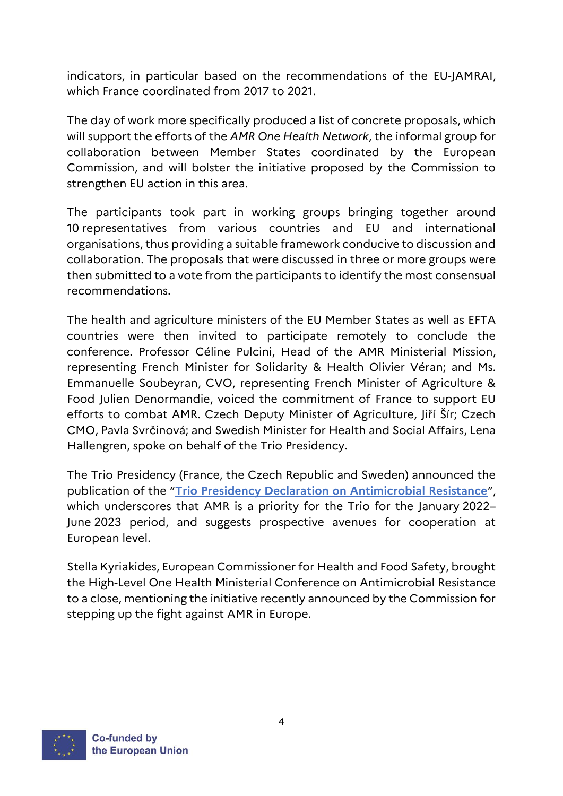indicators, in particular based on the recommendations of the EU-JAMRAI, which France coordinated from 2017 to 2021.

The day of work more specifically produced a list of concrete proposals, which will support the efforts of the *AMR One Health Network*, the informal group for collaboration between Member States coordinated by the European Commission, and will bolster the initiative proposed by the Commission to strengthen EU action in this area.

The participants took part in working groups bringing together around 10 representatives from various countries and EU and international organisations, thus providing a suitable framework conducive to discussion and collaboration. The proposals that were discussed in three or more groups were then submitted to a vote from the participants to identify the most consensual recommendations.

The health and agriculture ministers of the EU Member States as well as EFTA countries were then invited to participate remotely to conclude the conference. Professor Céline Pulcini, Head of the AMR Ministerial Mission, representing French Minister for Solidarity & Health Olivier Véran; and Ms. Emmanuelle Soubeyran, CVO, representing French Minister of Agriculture & Food Julien Denormandie, voiced the commitment of France to support EU efforts to combat AMR. Czech Deputy Minister of Agriculture, Jiří Šír; Czech CMO, Pavla Svrčinová; and Swedish Minister for Health and Social Affairs, Lena Hallengren, spoke on behalf of the Trio Presidency.

The Trio Presidency (France, the Czech Republic and Sweden) announced the publication of the "**[Trio Presidency Declaration on Antimicrobial Resistance](https://presidence-francaise.consilium.europa.eu/media/rftlbuhp/d%C3%A9claration-trio-amr-eng.pdf)**", which underscores that AMR is a priority for the Trio for the January 2022– June 2023 period, and suggests prospective avenues for cooperation at European level.

Stella Kyriakides, European Commissioner for Health and Food Safety, brought the High-Level One Health Ministerial Conference on Antimicrobial Resistance to a close, mentioning the initiative recently announced by the Commission for stepping up the fight against AMR in Europe.

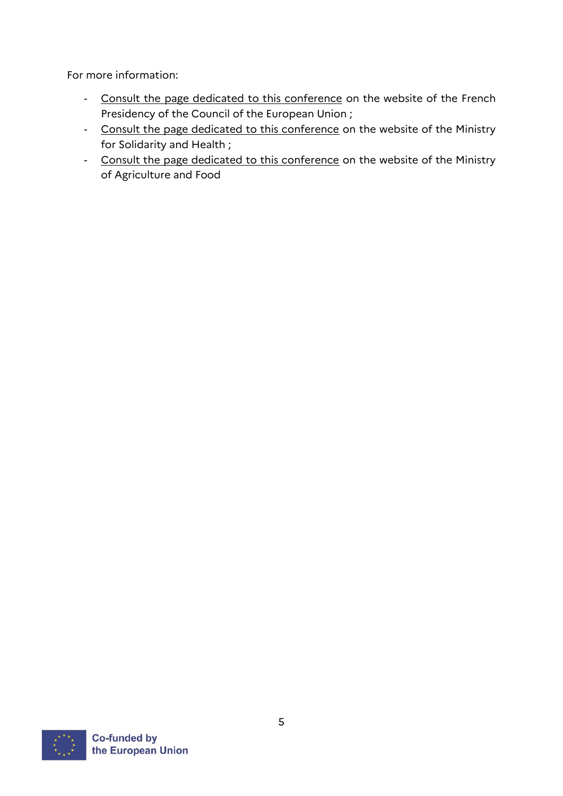For more information:

- [Consult the page dedicated to this conference](https://presidence-francaise.consilium.europa.eu/fr/actualites/conference-ministerielle-une-seule-sante-sur-la-resistance-aux-antimicrobiens/) on the website of the French Presidency of the Council of the European Union ;
- [Consult the page dedicated to this conference](https://solidarites-sante.gouv.fr/ministere/europe-et-international/la-presidence-francaise-du-conseil-de-l-union-europeenne/article/conference-ministerielle-une-seule-sante-sur-la-resistance-aux-antimicrobiens#:~:text=La%20conf%C3%A9rence%20minist%C3%A9rielle%20%C2%AB%20Une%20seule,domaine%20et%20de%20discuter%20des) on the website of the Ministry for Solidarity and Health ;
- [Consult the page dedicated to this conference](https://agriculture.gouv.fr/presidence-francaise-du-conseil-de-lunion-europeenne-0) on the website of the Ministry of Agriculture and Food

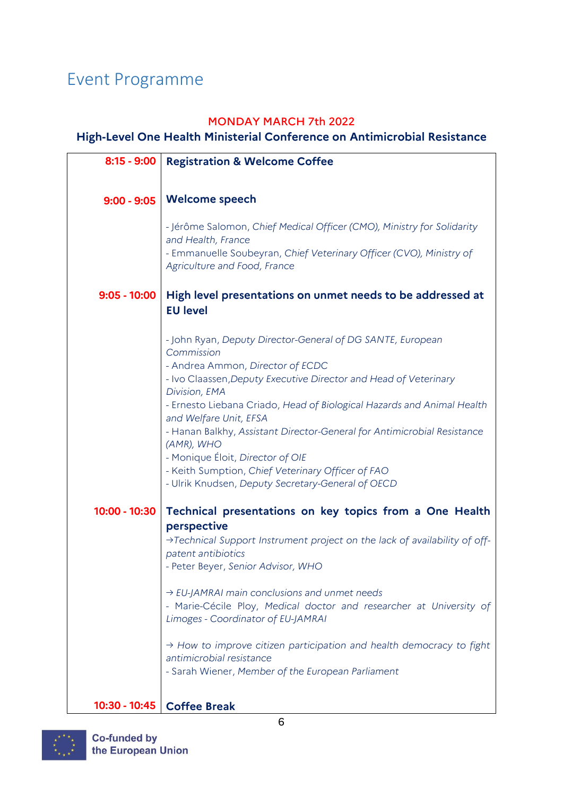# <span id="page-5-0"></span>Event Programme

# MONDAY MARCH 7th 2022

# **High-Level One Health Ministerial Conference on Antimicrobial Resistance**

| $8:15 - 9:00$   | <b>Registration &amp; Welcome Coffee</b>                                                                                                                                                                                                                                                                                                                                                                                                                                                                                                                      |
|-----------------|---------------------------------------------------------------------------------------------------------------------------------------------------------------------------------------------------------------------------------------------------------------------------------------------------------------------------------------------------------------------------------------------------------------------------------------------------------------------------------------------------------------------------------------------------------------|
|                 |                                                                                                                                                                                                                                                                                                                                                                                                                                                                                                                                                               |
| $9:00 - 9:05$   | <b>Welcome speech</b>                                                                                                                                                                                                                                                                                                                                                                                                                                                                                                                                         |
|                 | - Jérôme Salomon, Chief Medical Officer (CMO), Ministry for Solidarity<br>and Health, France<br>- Emmanuelle Soubeyran, Chief Veterinary Officer (CVO), Ministry of<br>Agriculture and Food, France                                                                                                                                                                                                                                                                                                                                                           |
| $9:05 - 10:00$  | High level presentations on unmet needs to be addressed at<br><b>EU level</b>                                                                                                                                                                                                                                                                                                                                                                                                                                                                                 |
|                 | - John Ryan, Deputy Director-General of DG SANTE, European<br>Commission<br>- Andrea Ammon, Director of ECDC<br>- Ivo Claassen, Deputy Executive Director and Head of Veterinary<br>Division, EMA<br>- Ernesto Liebana Criado, Head of Biological Hazards and Animal Health<br>and Welfare Unit, EFSA<br>- Hanan Balkhy, Assistant Director-General for Antimicrobial Resistance<br>(AMR), WHO<br>- Monique Éloit, Director of OIE<br>- Keith Sumption, Chief Veterinary Officer of FAO<br>- Ulrik Knudsen, Deputy Secretary-General of OECD                  |
| $10:00 - 10:30$ | Technical presentations on key topics from a One Health<br>perspective<br>>Technical Support Instrument project on the lack of availability of off-<br>patent antibiotics<br>- Peter Beyer, Senior Advisor, WHO<br>$\rightarrow$ EU-JAMRAI main conclusions and unmet needs<br>- Marie-Cécile Ploy, Medical doctor and researcher at University of<br>Limoges - Coordinator of EU-JAMRAI<br>$\rightarrow$ How to improve citizen participation and health democracy to fight<br>antimicrobial resistance<br>- Sarah Wiener, Member of the European Parliament |
| 10:30 - 10:45   | <b>Coffee Break</b>                                                                                                                                                                                                                                                                                                                                                                                                                                                                                                                                           |

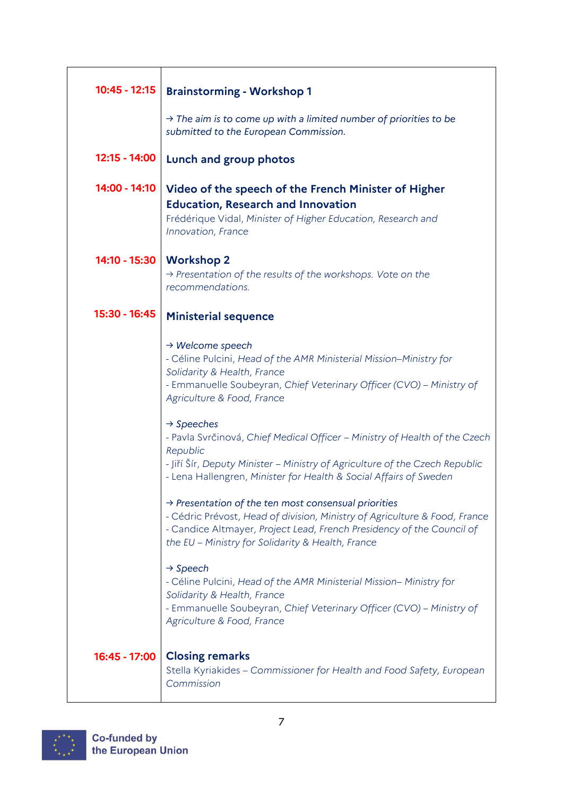| $10:45 - 12:15$ | <b>Brainstorming - Workshop 1</b>                                                                                                                                                                                                                                            |
|-----------------|------------------------------------------------------------------------------------------------------------------------------------------------------------------------------------------------------------------------------------------------------------------------------|
|                 | $\rightarrow$ The aim is to come up with a limited number of priorities to be<br>submitted to the European Commission.                                                                                                                                                       |
| 12:15 - 14:00   | Lunch and group photos                                                                                                                                                                                                                                                       |
| 14:00 - 14:10   | Video of the speech of the French Minister of Higher<br><b>Education, Research and Innovation</b><br>Frédérique Vidal, Minister of Higher Education, Research and<br>Innovation, France                                                                                      |
| 14:10 - 15:30   | <b>Workshop 2</b><br>$\rightarrow$ Presentation of the results of the workshops. Vote on the<br>recommendations.                                                                                                                                                             |
| 15:30 - 16:45   | <b>Ministerial sequence</b>                                                                                                                                                                                                                                                  |
|                 | $\rightarrow$ Welcome speech<br>- Céline Pulcini, Head of the AMR Ministerial Mission-Ministry for<br>Solidarity & Health, France<br>- Emmanuelle Soubeyran, Chief Veterinary Officer (CVO) - Ministry of<br>Agriculture & Food, France                                      |
|                 | $\rightarrow$ Speeches<br>- Pavla Svrčinová, Chief Medical Officer - Ministry of Health of the Czech<br>Republic<br>- Jiří Šír, Deputy Minister – Ministry of Agriculture of the Czech Republic<br>- Lena Hallengren, Minister for Health & Social Affairs of Sweden         |
|                 | $\rightarrow$ Presentation of the ten most consensual priorities<br>- Cédric Prévost, Head of division, Ministry of Agriculture & Food, France<br>- Candice Altmayer, Project Lead, French Presidency of the Council of<br>the EU - Ministry for Solidarity & Health, France |
|                 | $\rightarrow$ Speech<br>- Céline Pulcini, Head of the AMR Ministerial Mission- Ministry for<br>Solidarity & Health, France<br>- Emmanuelle Soubeyran, Chief Veterinary Officer (CVO) - Ministry of<br>Agriculture & Food, France                                             |
| 16:45 - 17:00   | <b>Closing remarks</b><br>Stella Kyriakides - Commissioner for Health and Food Safety, European<br>Commission                                                                                                                                                                |

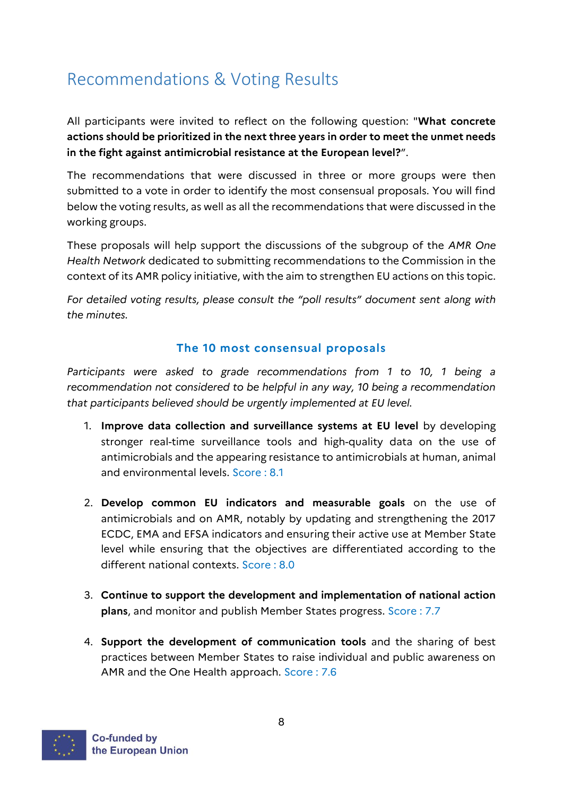# <span id="page-7-0"></span>Recommendations & Voting Results

All participants were invited to reflect on the following question: "**What concrete actions should be prioritized in the next three years in order to meet the unmet needs in the fight against antimicrobial resistance at the European level?**".

The recommendations that were discussed in three or more groups were then submitted to a vote in order to identify the most consensual proposals. You will find below the voting results, as well as all the recommendations that were discussed in the working groups.

These proposals will help support the discussions of the subgroup of the *AMR One Health Network* dedicated to submitting recommendations to the Commission in the context of its AMR policy initiative, with the aim to strengthen EU actions on this topic.

*For detailed voting results, please consult the "poll results" document sent along with the minutes.*

# **The 10 most consensual proposals**

Participants were asked to grade recommendations from 1 to 10, 1 being a *recommendation not considered to be helpful in any way, 10 being a recommendation that participants believed should be urgently implemented at EU level.*

- 1. **Improve data collection and surveillance systems at EU level** by developing stronger real-time surveillance tools and high-quality data on the use of antimicrobials and the appearing resistance to antimicrobials at human, animal and environmental levels. Score : 8.1
- 2. **Develop common EU indicators and measurable goals** on the use of antimicrobials and on AMR, notably by updating and strengthening the 2017 ECDC, EMA and EFSA indicators and ensuring their active use at Member State level while ensuring that the objectives are differentiated according to the different national contexts. Score : 8.0
- 3. **Continue to support the development and implementation of national action plans**, and monitor and publish Member States progress. Score : 7.7
- 4. **Support the development of communication tools** and the sharing of best practices between Member States to raise individual and public awareness on AMR and the One Health approach. Score : 7.6

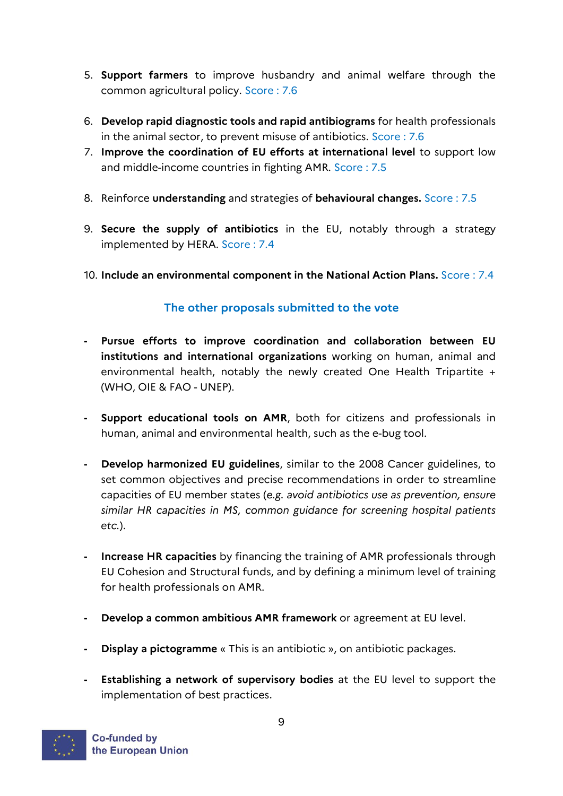- 5. **Support farmers** to improve husbandry and animal welfare through the common agricultural policy. Score : 7.6
- 6. **Develop rapid diagnostic tools and rapid antibiograms** for health professionals in the animal sector, to prevent misuse of antibiotics. Score : 7.6
- 7. **Improve the coordination of EU efforts at international level** to support low and middle-income countries in fighting AMR. Score : 7.5
- 8. Reinforce **understanding** and strategies of **behavioural changes.** Score : 7.5
- 9. **Secure the supply of antibiotics** in the EU, notably through a strategy implemented by HERA. Score : 7.4
- 10. **Include an environmental component in the National Action Plans.** Score : 7.4

# **The other proposals submitted to the vote**

- **- Pursue efforts to improve coordination and collaboration between EU institutions and international organizations** working on human, animal and environmental health, notably the newly created One Health Tripartite + (WHO, OIE & FAO - UNEP).
- **- Support educational tools on AMR**, both for citizens and professionals in human, animal and environmental health, such as the e-bug tool.
- **- Develop harmonized EU guidelines**, similar to the 2008 Cancer guidelines, to set common objectives and precise recommendations in order to streamline capacities of EU member states (*e.g. avoid antibiotics use as prevention, ensure similar HR capacities in MS, common guidance for screening hospital patients etc.*).
- **- Increase HR capacities** by financing the training of AMR professionals through EU Cohesion and Structural funds, and by defining a minimum level of training for health professionals on AMR.
- **- Develop a common ambitious AMR framework** or agreement at EU level.
- **- Display a pictogramme** « This is an antibiotic », on antibiotic packages.
- **- Establishing a network of supervisory bodies** at the EU level to support the implementation of best practices.

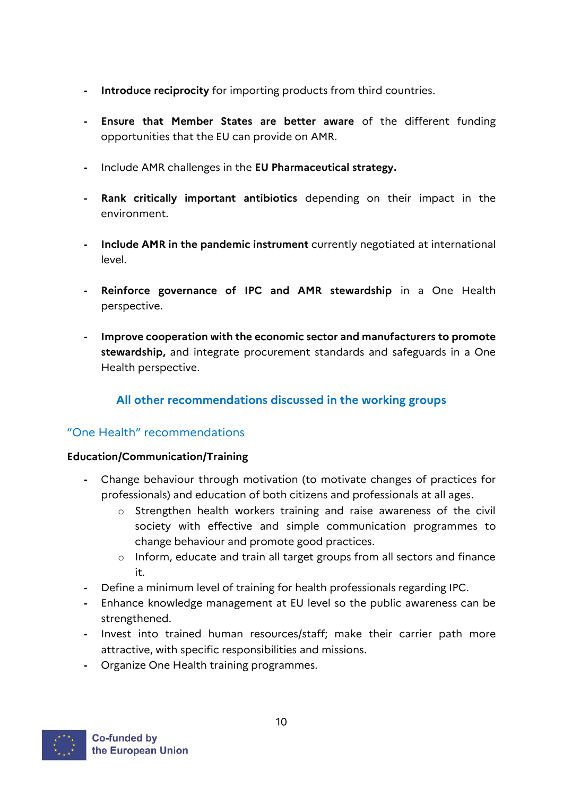- **- Introduce reciprocity** for importing products from third countries.
- **- Ensure that Member States are better aware** of the different funding opportunities that the EU can provide on AMR.
- **-** Include AMR challenges in the **EU Pharmaceutical strategy.**
- **- Rank critically important antibiotics** depending on their impact in the environment.
- **- Include AMR in the pandemic instrument** currently negotiated at international level.
- **- Reinforce governance of IPC and AMR stewardship** in a One Health perspective.
- **- Improve cooperation with the economic sector and manufacturers to promote stewardship,** and integrate procurement standards and safeguards in a One Health perspective.

# **All other recommendations discussed in the working groups**

## "One Health" recommendations

## **Education/Communication/Training**

- **-** Change behaviour through motivation (to motivate changes of practices for professionals) and education of both citizens and professionals at all ages.
	- o Strengthen health workers training and raise awareness of the civil society with effective and simple communication programmes to change behaviour and promote good practices.
	- o Inform, educate and train all target groups from all sectors and finance it.
- **-** Define a minimum level of training for health professionals regarding IPC.
- **-** Enhance knowledge management at EU level so the public awareness can be strengthened.
- **-** Invest into trained human resources/staff; make their carrier path more attractive, with specific responsibilities and missions.
- **-** Organize One Health training programmes.

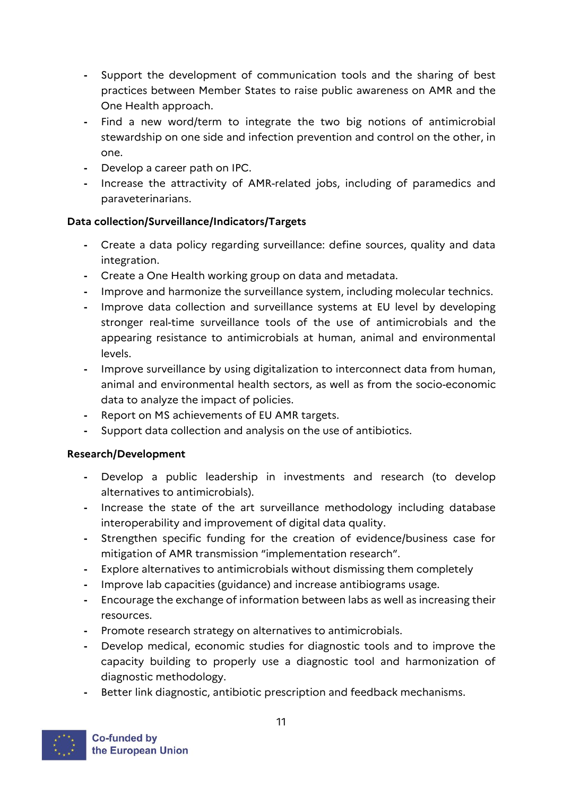- **-** Support the development of communication tools and the sharing of best practices between Member States to raise public awareness on AMR and the One Health approach.
- **-** Find a new word/term to integrate the two big notions of antimicrobial stewardship on one side and infection prevention and control on the other, in one.
- **-** Develop a career path on IPC.
- **-** Increase the attractivity of AMR-related jobs, including of paramedics and paraveterinarians.

# **Data collection/Surveillance/Indicators/Targets**

- **-** Create a data policy regarding surveillance: define sources, quality and data integration.
- **-** Create a One Health working group on data and metadata.
- **-** Improve and harmonize the surveillance system, including molecular technics.
- **-** Improve data collection and surveillance systems at EU level by developing stronger real-time surveillance tools of the use of antimicrobials and the appearing resistance to antimicrobials at human, animal and environmental levels.
- **-** Improve surveillance by using digitalization to interconnect data from human, animal and environmental health sectors, as well as from the socio-economic data to analyze the impact of policies.
- **-** Report on MS achievements of EU AMR targets.
- **-** Support data collection and analysis on the use of antibiotics.

# **Research/Development**

- **-** Develop a public leadership in investments and research (to develop alternatives to antimicrobials).
- **-** Increase the state of the art surveillance methodology including database interoperability and improvement of digital data quality.
- **-** Strengthen specific funding for the creation of evidence/business case for mitigation of AMR transmission "implementation research".
- **-** Explore alternatives to antimicrobials without dismissing them completely
- **-** Improve lab capacities (guidance) and increase antibiograms usage.
- **-** Encourage the exchange of information between labs as well as increasing their resources.
- **-** Promote research strategy on alternatives to antimicrobials.
- **-** Develop medical, economic studies for diagnostic tools and to improve the capacity building to properly use a diagnostic tool and harmonization of diagnostic methodology.
- **-** Better link diagnostic, antibiotic prescription and feedback mechanisms.

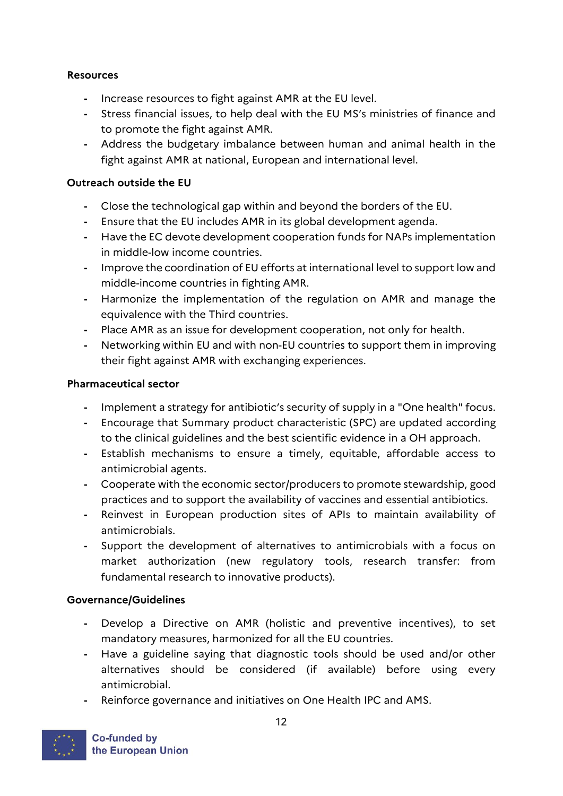## **Resources**

- **-** Increase resources to fight against AMR at the EU level.
- **-** Stress financial issues, to help deal with the EU MS's ministries of finance and to promote the fight against AMR.
- **-** Address the budgetary imbalance between human and animal health in the fight against AMR at national, European and international level.

# **Outreach outside the EU**

- **-** Close the technological gap within and beyond the borders of the EU.
- **-** Ensure that the EU includes AMR in its global development agenda.
- **-** Have the EC devote development cooperation funds for NAPs implementation in middle-low income countries.
- **-** Improve the coordination of EU efforts at international level to support low and middle-income countries in fighting AMR.
- **-** Harmonize the implementation of the regulation on AMR and manage the equivalence with the Third countries.
- **-** Place AMR as an issue for development cooperation, not only for health.
- **-** Networking within EU and with non-EU countries to support them in improving their fight against AMR with exchanging experiences.

# **Pharmaceutical sector**

- **-** Implement a strategy for antibiotic's security of supply in a "One health" focus.
- **-** Encourage that Summary product characteristic (SPC) are updated according to the clinical guidelines and the best scientific evidence in a OH approach.
- **-** Establish mechanisms to ensure a timely, equitable, affordable access to antimicrobial agents.
- **-** Cooperate with the economic sector/producers to promote stewardship, good practices and to support the availability of vaccines and essential antibiotics.
- **-** Reinvest in European production sites of APIs to maintain availability of antimicrobials.
- **-** Support the development of alternatives to antimicrobials with a focus on market authorization (new regulatory tools, research transfer: from fundamental research to innovative products).

# **Governance/Guidelines**

- **-** Develop a Directive on AMR (holistic and preventive incentives), to set mandatory measures, harmonized for all the EU countries.
- **-** Have a guideline saying that diagnostic tools should be used and/or other alternatives should be considered (if available) before using every antimicrobial.
- **-** Reinforce governance and initiatives on One Health IPC and AMS.

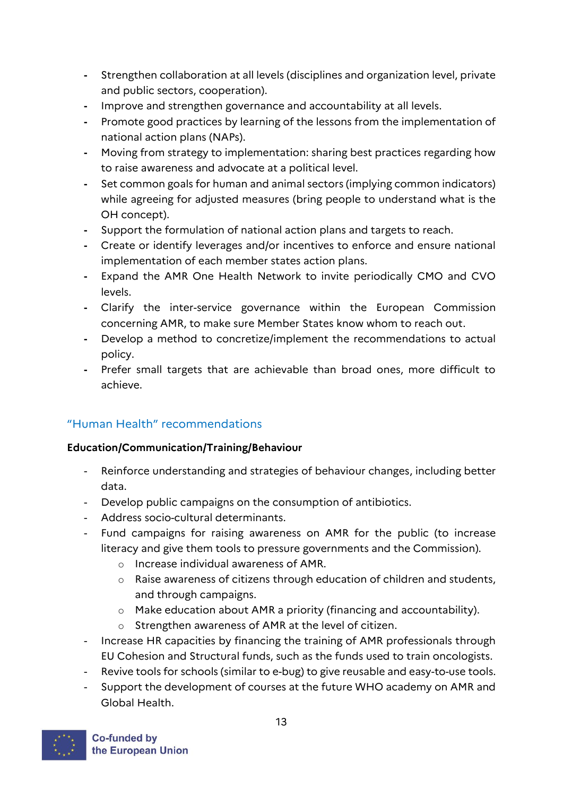- **-** Strengthen collaboration at all levels (disciplines and organization level, private and public sectors, cooperation).
- **-** Improve and strengthen governance and accountability at all levels.
- **-** Promote good practices by learning of the lessons from the implementation of national action plans (NAPs).
- **-** Moving from strategy to implementation: sharing best practices regarding how to raise awareness and advocate at a political level.
- **-** Set common goals for human and animal sectors (implying common indicators) while agreeing for adjusted measures (bring people to understand what is the OH concept).
- **-** Support the formulation of national action plans and targets to reach.
- **-** Create or identify leverages and/or incentives to enforce and ensure national implementation of each member states action plans.
- **-** Expand the AMR One Health Network to invite periodically CMO and CVO levels.
- **-** Clarify the inter-service governance within the European Commission concerning AMR, to make sure Member States know whom to reach out.
- **-** Develop a method to concretize/implement the recommendations to actual policy.
- **-** Prefer small targets that are achievable than broad ones, more difficult to achieve.

# "Human Health" recommendations

# **Education/Communication/Training/Behaviour**

- Reinforce understanding and strategies of behaviour changes, including better data.
- Develop public campaigns on the consumption of antibiotics.
- Address socio-cultural determinants.
- Fund campaigns for raising awareness on AMR for the public (to increase literacy and give them tools to pressure governments and the Commission).
	- o Increase individual awareness of AMR.
	- o Raise awareness of citizens through education of children and students, and through campaigns.
	- o Make education about AMR a priority (financing and accountability).
	- o Strengthen awareness of AMR at the level of citizen.
- Increase HR capacities by financing the training of AMR professionals through EU Cohesion and Structural funds, such as the funds used to train oncologists.
- Revive tools for schools (similar to e-bug) to give reusable and easy-to-use tools.
- Support the development of courses at the future WHO academy on AMR and Global Health.

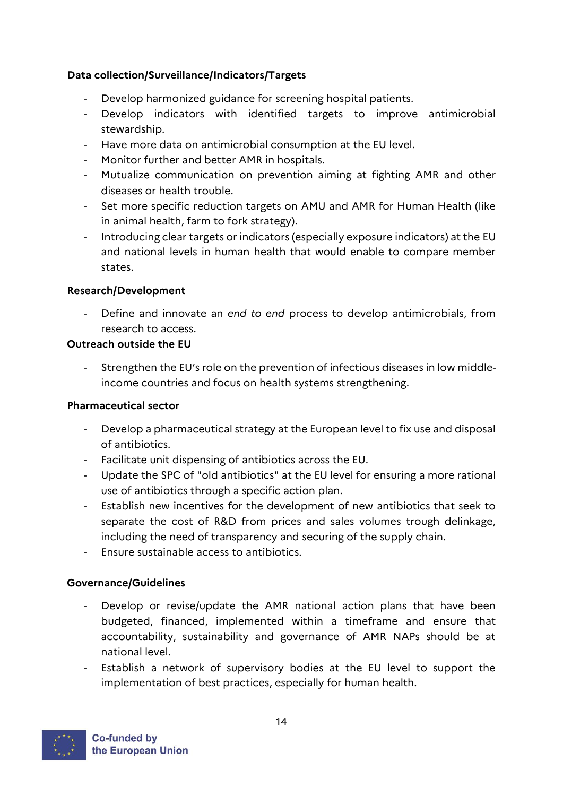# **Data collection/Surveillance/Indicators/Targets**

- Develop harmonized guidance for screening hospital patients.
- Develop indicators with identified targets to improve antimicrobial stewardship.
- Have more data on antimicrobial consumption at the EU level.
- Monitor further and better AMR in hospitals.
- Mutualize communication on prevention aiming at fighting AMR and other diseases or health trouble.
- Set more specific reduction targets on AMU and AMR for Human Health (like in animal health, farm to fork strategy).
- Introducing clear targets or indicators (especially exposure indicators) at the EU and national levels in human health that would enable to compare member states.

# **Research/Development**

- Define and innovate an *end to end* process to develop antimicrobials, from research to access.

# **Outreach outside the EU**

- Strengthen the EU's role on the prevention of infectious diseases in low middleincome countries and focus on health systems strengthening.

## **Pharmaceutical sector**

- Develop a pharmaceutical strategy at the European level to fix use and disposal of antibiotics.
- Facilitate unit dispensing of antibiotics across the EU.
- Update the SPC of "old antibiotics" at the EU level for ensuring a more rational use of antibiotics through a specific action plan.
- Establish new incentives for the development of new antibiotics that seek to separate the cost of R&D from prices and sales volumes trough delinkage, including the need of transparency and securing of the supply chain.
- Ensure sustainable access to antibiotics.

## **Governance/Guidelines**

- Develop or revise/update the AMR national action plans that have been budgeted, financed, implemented within a timeframe and ensure that accountability, sustainability and governance of AMR NAPs should be at national level.
- Establish a network of supervisory bodies at the EU level to support the implementation of best practices, especially for human health.

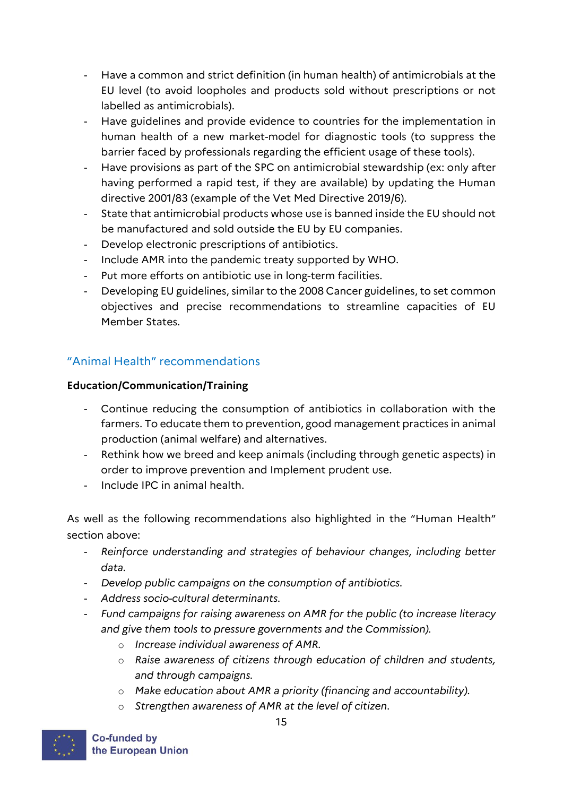- Have a common and strict definition (in human health) of antimicrobials at the EU level (to avoid loopholes and products sold without prescriptions or not labelled as antimicrobials).
- Have guidelines and provide evidence to countries for the implementation in human health of a new market-model for diagnostic tools (to suppress the barrier faced by professionals regarding the efficient usage of these tools).
- Have provisions as part of the SPC on antimicrobial stewardship (ex: only after having performed a rapid test, if they are available) by updating the Human directive 2001/83 (example of the Vet Med Directive 2019/6).
- State that antimicrobial products whose use is banned inside the EU should not be manufactured and sold outside the EU by EU companies.
- Develop electronic prescriptions of antibiotics.
- Include AMR into the pandemic treaty supported by WHO.
- Put more efforts on antibiotic use in long-term facilities.
- Developing EU guidelines, similar to the 2008 Cancer guidelines, to set common objectives and precise recommendations to streamline capacities of EU Member States.

# "Animal Health" recommendations

# **Education/Communication/Training**

- Continue reducing the consumption of antibiotics in collaboration with the farmers. To educate them to prevention, good management practices in animal production (animal welfare) and alternatives.
- Rethink how we breed and keep animals (including through genetic aspects) in order to improve prevention and Implement prudent use.
- Include IPC in animal health.

As well as the following recommendations also highlighted in the "Human Health" section above:

- *Reinforce understanding and strategies of behaviour changes, including better data.*
- *Develop public campaigns on the consumption of antibiotics.*
- *Address socio-cultural determinants.*
- *Fund campaigns for raising awareness on AMR for the public (to increase literacy and give them tools to pressure governments and the Commission).*
	- o *Increase individual awareness of AMR.*
	- o *Raise awareness of citizens through education of children and students, and through campaigns.*
	- o *Make education about AMR a priority (financing and accountability).*
	- o *Strengthen awareness of AMR at the level of citizen.*

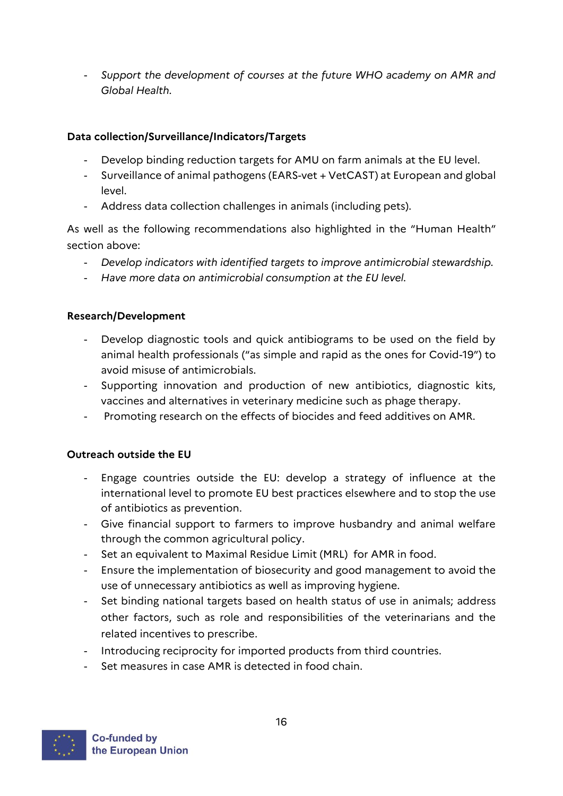- *Support the development of courses at the future WHO academy on AMR and Global Health.*

# **Data collection/Surveillance/Indicators/Targets**

- Develop binding reduction targets for AMU on farm animals at the EU level.
- Surveillance of animal pathogens (EARS-vet + VetCAST) at European and global level.
- Address data collection challenges in animals (including pets).

As well as the following recommendations also highlighted in the "Human Health" section above:

- *Develop indicators with identified targets to improve antimicrobial stewardship.*
- *Have more data on antimicrobial consumption at the EU level.*

## **Research/Development**

- Develop diagnostic tools and quick antibiograms to be used on the field by animal health professionals ("as simple and rapid as the ones for Covid-19") to avoid misuse of antimicrobials.
- Supporting innovation and production of new antibiotics, diagnostic kits, vaccines and alternatives in veterinary medicine such as phage therapy.
- Promoting research on the effects of biocides and feed additives on AMR.

## **Outreach outside the EU**

- Engage countries outside the EU: develop a strategy of influence at the international level to promote EU best practices elsewhere and to stop the use of antibiotics as prevention.
- Give financial support to farmers to improve husbandry and animal welfare through the common agricultural policy.
- Set an equivalent to Maximal Residue Limit (MRL) for AMR in food.
- Ensure the implementation of biosecurity and good management to avoid the use of unnecessary antibiotics as well as improving hygiene.
- Set binding national targets based on health status of use in animals; address other factors, such as role and responsibilities of the veterinarians and the related incentives to prescribe.
- Introducing reciprocity for imported products from third countries.
- Set measures in case AMR is detected in food chain.